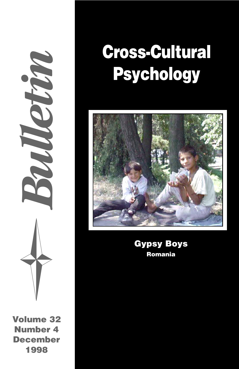*Bulletin*

**Volume 32 Number 4 December 1998**

# **Cross-Cultural Psychology**



**Gypsy Boys Romania**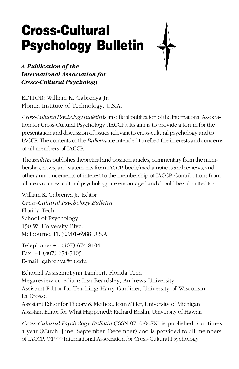# **Cross-Cultural Psychology Bulletin**



*A Publication of the International Association for Cross-Cultural Psychology*

EDITOR: William K. Gabrenya Jr. Florida Institute of Technology, U.S.A.

*Cross-Cultural Psychology Bulletin* is an official publication of the International Association for Cross-Cultural Psychology (IACCP). Its aim is to provide a forum for the presentation and discussion of issues relevant to cross-cultural psychology and to IACCP. The contents of the *Bulletin* are intended to reflect the interests and concerns of all members of IACCP.

The *Bulletin* publishes theoretical and position articles, commentary from the membership, news, and statements from IACCP, book/media notices and reviews, and other announcements of interest to the membership of IACCP. Contributions from all areas of cross-cultural psychology are encouraged and should be submitted to:

William K. Gabrenya Jr., Editor *Cross-Cultural Psychology Bulletin* Florida Tech School of Psychology 150 W. University Blvd. Melbourne, FL 32901-6988 U.S.A.

Telephone: +1 (407) 674-8104 Fax: +1 (407) 674-7105 E-mail: gabrenya@fit.edu

Editorial Assistant:Lynn Lambert, Florida Tech Megareview co-editor: Lisa Beardsley, Andrews University Assistant Editor for Teaching: Harry Gardiner, University of Wisconsin– La Crosse Assistant Editor for Theory & Method: Joan Miller, University of Michigan

Assistant Editor for What Happened?: Richard Brislin, University of Hawaii

*Cross-Cultural Psychology Bulletin* (ISSN 0710-068X) is published four times a year (March, June, September, December) and is provided to all members of IACCP. ©1999 International Association for Cross-Cultural Psychology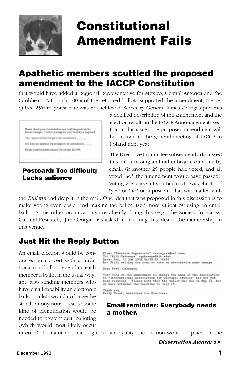<span id="page-2-0"></span>

# **Constitutional Amendment Fails**

# **Apathetic members scuttled the proposed amendment to the IACCP Constitution**

that would have added a Regional Representative for Mexico, Central America and the Caribbean. Although 100% of the returned ballots supported the amendment, the required 25% response rate was not achieved. Secretary-General James Georgas presents

are abook your chose below and mail this peetcard to Jamie Georgia. Correct postage for your country is required. Yes, I approve the change in the constitution. No, I denot approve the change is the constitution, Rosso mail this balkst botow November 30, 1998. **Postcard: Too difficult; Lacks salience**

a detailed description of the amendment and the election results in the IACCP Announcements section in this issue. The proposed amendment will be brought to the general meeting of IACCP in Poland next year.

The Executive Committee subsequently discussed this embarrassing and rather bizarre outcome by email. (if another 25 people had voted, and all voted "no", the amendment would have passed). Voting was easy: all you had to do was check off "yes" or "no" on a postcard that was mailed with

the *Bulletin* and drop it in the mail. One idea that was proposed in this discussion is to make voting even easier and making the ballot itself more salient by using an email ballot. Some other organizations are already doing this (e.g., the Society for Cross-Cultural Research). Jim Georgas has asked me to bring this idea to the membership in this venue.

### **Just Hit the Reply Button**

An email election would be conducted in concert with a traditional mail ballot by sending each member a ballot in the usual way, and also sending members who have email capability an electronic ballot. Ballots would no longer be strictly anonymous because some kind of identification would be needed to prevent dual balloting (which would most likely occur

```
From: "Election Supervises" crete_are@ast.com:<br>Te: "Bill Gabrerya" coalcrery=@dit-edu<br>Date: Fri, il Jun 2001 Oi:18:08-0480<br>Dat Phill watting for your to vote an association name change
Dear Fref. Gahrenya.
Your vate on the ammendment to change the name of the Association<br>to "International Association for Cultural Studies" has not yet<br>been received. Please note that the hallot was due on May 13, but<br>we have extended the deadl
Thank yva,<br>Kelly Treut, Assistant for Elections
```
**Email reminder: Everybody needs a mother.**

in error). To maintain some degree of anonymity, the election would be placed in the

*Dissertation Award: 6*➤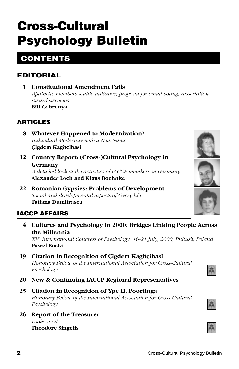# **Cross-Cultural Psychology Bulletin**

# **CONTENTS**

### **EDITORIAL**

**1 Constitutional Amendment Fails** *[Apathetic members scuttle initiative; proposal for email voting; dissertation](#page-2-0) award sweetens.* **Bill Gabrenya**

### **ARTICLES**

- **8 [Whatever Happened to Modernization?](#page-9-0)** *Individual Modernity with a New Name* **Çigdem Kagitçibasi**
- **12 [Country Report: \(Cross-\)Cultural Psychology in](#page-13-0) Germany** *A detailed look at the activities of IACCP members in Germany* **Alexander Loch and Klaus Boehnke**
- **22 [Romanian Gypsies: Problems of Development](#page-23-0)** *Social and developmental aspects of Gypsy life* **Tatiana Dumitrascu**

### **IACCP AFFAIRS**

**4 [Cultures and Psychology in 2000: Bridges Linking People Across](#page-5-0) the Millennia**

*XV International Congress of Psychology, 16-21 July, 2000, Pultusk, Poland.* **Pawel Boski**

### **19 Citation in Recognition of Çigdem Kagitçibasi**

*[Honorary Fellow of the International Association for Cross-Cultural](#page-20-0) Psychology*

**20 [New & Continuing IACCP Regional Representatives](#page-21-0)**

### **25 Citation in Recognition of Ype H. Poortinga**

*[Honorary Fellow of the International Association for Cross-Cultural](#page-26-0) Psychology*

**26 [Report of the Treasurer](#page-27-0)** *Looks good...* **Theodore Singelis**



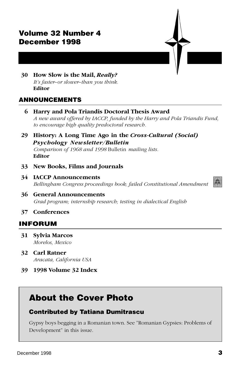### **Volume 32 Number 4 December 1998**

**30 How Slow is the Mail,** *Really? [It's faster–or slower–than you think.](#page-31-0)* **Editor**

### **ANNOUNCEMENTS**

- **6 Harry and Pola Triandis Doctoral Thesis Award** *[A new award offered by IACCP, funded by the Harry and Pola Triandis Fund,](#page-7-0) to encourage high quality predoctoral research.*
- **[29 History: A Long Time Ago in the](#page-30-0)** *Cross-Cultural (Social) Psychology Newsletter/Bulletin Comparison of 1968 and 1998* Bulletin *mailing lists.* **Editor**
- **[33 New Books, Films and Journals](#page-34-0)**
- **34 IACCP Announcements** *[Bellingham Congress proceedings book; failed Constitutional Amendment](#page-35-0)*
- **36 General Announcements** *[Grad program; internship research; testing in dialectical English](#page-37-0)*

#### **[37 Conferences](#page-38-0)**

#### **INFORUM**

- **[31 Sylvia Marcos](#page-32-0)** *Morelos, Mexico*
- **32 Carl Ratner** *[Aracata, California USA](#page-33-0)*
- **[39 1998 Volume 32 Index](#page-40-0)**

# **About the Cover Photo**

#### **Contributed by Tatiana Dumitrascu**

Gypsy boys begging in a Romanian town. See "Romanian Gypsies: Problems of Development" in this issue.



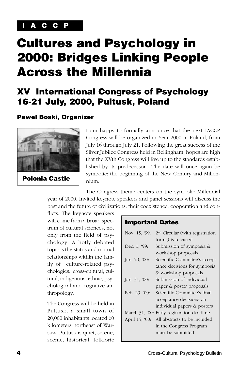### <span id="page-5-0"></span>**I A C C P**

# **Cultures and Psychology in 2000: Bridges Linking People Across the Millennia**

# **XV International Congress of Psychology 16-21 July, 2000, Pultusk, Poland**

#### **Pawel Boski, Organizer**



I am happy to formally announce that the next IACCP Congress will be organized in Year 2000 in Poland, from July 16 through July 21. Following the great success of the Silver Jubilee Congress held in Bellingham, hopes are high that the XVth Congress will live up to the standards established by its predecessor. The date will once again be symbolic: the beginning of the New Century and Millennium.

The Congress theme centers on the symbolic Millennial year of 2000. Invited keynote speakers and panel sessions will discuss the past and the future of civilizations: their coexistence, cooperation and con-

flicts. The keynote speakers will come from a broad spectrum of cultural sciences, not only from the field of psychology. A hotly debated topic is the status and mutual relationships within the family of culture-related psychologies: cross-cultural, cultural, indigenous, ethnic, psychological and cognitive anthropology.

The Congress will be held in Pultusk, a small town of 20,000 inhabitants located 60 kilometers northeast of Warsaw. Pultusk is quiet, serene, scenic, historical, folkloric

#### **Important Dates**

| Nov. 15, '99:  | 2 <sup>nd</sup> Circular (with registration |
|----------------|---------------------------------------------|
|                | forms) is released                          |
| Dec. 1, '99:   | Submission of symposia &                    |
|                | workshop proposals                          |
| Jan. 20, '00:  | Scientific Committee's accep-               |
|                | tance decisions for symposia                |
|                | & workshop proposals                        |
| Jan. 31, '00:  | Submission of individual                    |
|                | paper & poster proposals                    |
| Feb. 29, '00:  | Scientific Committee's final                |
|                | acceptance decisions on                     |
|                | individual papers & posters                 |
|                | March 31, '00: Early registration deadline  |
| April 15, '00: | All abstracts to be included                |
|                | in the Congress Program                     |
|                | must be submitted                           |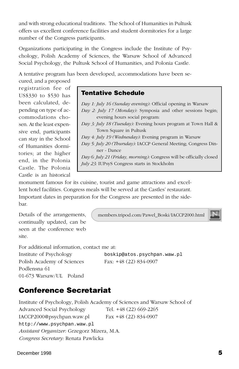and with strong educational traditions. The School of Humanities in Pultusk offers us excellent conference facilities and student dormitories for a large number of the Congress participants.

Organizations participating in the Congress include the Institute of Psychology, Polish Academy of Sciences, the Warsaw School of Advanced Social Psychology, the Pultusk School of Humanities, and Polonia Castle.

A tentative program has been developed, accommodations have been se-

cured, and a proposed registration fee of US\$330 to \$530 has been calculated, depending on type of accommodations chosen. At the least expensive end, participants can stay in the School of Humanities dormitories; at the higher end, in the Polonia Castle. The Polonia Castle is an historical

**Tentative Schedule**

*Day 1: July 16 (Sunday evening):* Official opening in Warsaw *Day 2: July 17 (Monday):* Symposia and other sessions begin; evening hours social program: *Day 3: July 18 (Tuesday):* Evening hours program at Town Hall & Town Square in Pultusk *Day 4: July 19 (Wednesday):* Evening program in Warsaw *Day 5: July 20 (Thursday):* IACCP General Meeting; Congress Dinner - Dance *Day 6: July 21 (Friday, morning):* Congress will be officially closed *July 23:* IUPsyS Congress starts in Stockholm

monument famous for its cuisine, tourist and game attractions and excellent hotel facilities. Congress meals will be served at the Castles' restaurant. Important dates in preparation for the Congress are presented in the sidebar.

Details of the arrangements, continually updated, can be seen at the conference web site.

members.tripod.com/Pawel\_Boski/IACCP2000.html

For additional information, contact me at:

Polish Academy of Sciences Fax: +48 (22) 834-0907 Podlensna 61 01-673 Warsaw/UL Poland

Institute of Psychology boskip@atos.psychpan.waw.pl

## **Conference Secretariat**

Institute of Psychology, Polish Academy of Sciences and Warsaw School of Advanced Social Psychology Tel. +48 (22) 669-2265 IACCP2000@psychpan.waw.pl Fax +48 (22) 834-0907 http://www.psychpan.waw.pl *Assistant Organizer:* Grzegorz Mizera, M.A. *Congress Secretary:* Renata Pawlicka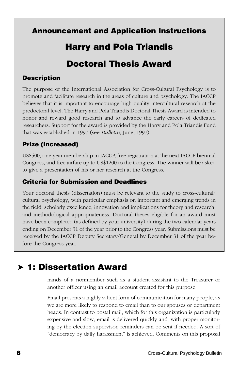### <span id="page-7-0"></span>**Announcement and Application Instructions**

# **Harry and Pola Triandis**

# **Doctoral Thesis Award**

### **Description**

The purpose of the International Association for Cross-Cultural Psychology is to promote and facilitate research in the areas of culture and psychology. The IACCP believes that it is important to encourage high quality intercultural research at the predoctoral level. The Harry and Pola Triandis Doctoral Thesis Award is intended to honor and reward good research and to advance the early careers of dedicated researchers. Support for the award is provided by the Harry and Pola Triandis Fund that was established in 1997 (see *Bulletin*, June, 1997).

### **Prize (Increased)**

US\$500, one year membership in IACCP, free registration at the next IACCP biennial Congress, and free airfare up to US\$1200 to the Congress. The winner will be asked to give a presentation of his or her research at the Congress.

### **Criteria for Submission and Deadlines**

Your doctoral thesis (dissertation) must be relevant to the study to cross-cultural/ cultural psychology, with particular emphasis on important and emerging trends in the field; scholarly excellence; innovation and implications for theory and research; and methodological appropriateness. Doctoral theses eligible for an award must have been completed (as defined by your university) during the two calendar years ending on December 31 of the year prior to the Congress year. Submissions must be received by the IACCP Deputy Secretary/General by December 31 of the year before the Congress year.

# ➤ **1: Dissertation Award**

hands of a nonmember such as a student assistant to the Treasurer or another officer using an email account created for this purpose.

Email presents a highly salient form of communication for many people, as we are more likely to respond to email than to our spouses or department heads. In contrast to postal mail, which for this organization is particularly expensive and slow, email is delivered quickly and, with proper monitoring by the election supervisor, reminders can be sent if needed. A sort of "democracy by daily harassment" is achieved. Comments on this proposal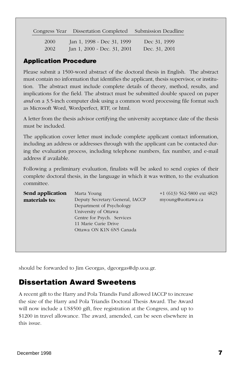Congress Year Dissertation Completed Submission Deadline

| <b>2000</b> | Jan 1, 1998 - Dec 31, 1999  | Dec 31, 1999  |
|-------------|-----------------------------|---------------|
| 2002        | Jan 1, 2000 - Dec. 31, 2001 | Dec. 31, 2001 |

### **Application Procedure**

Please submit a 1500-word abstract of the doctoral thesis in English. The abstract must contain no information that identifies the applicant, thesis supervisor, or institution. The abstract must include complete details of theory, method, results, and implications for the field. The abstract must be submitted double spaced on paper *and* on a 3.5-inch computer disk using a common word processing file format such as Microsoft Word, Wordperfect, RTF, or html.

A letter from the thesis advisor certifying the university acceptance date of the thesis must be included.

The application cover letter must include complete applicant contact information, including an address or addresses through with the applicant can be contacted during the evaluation process, including telephone numbers, fax number, and e-mail address if available.

Following a preliminary evaluation, finalists will be asked to send copies of their complete doctoral thesis, in the language in which it was written, to the evaluation committee.

| Send application | Marta Young                     | $+1$ (613) 562-5800 ext 4823 |
|------------------|---------------------------------|------------------------------|
| materials to:    | Deputy Secretary/General, IACCP | myoung@uottawa.ca            |
|                  | Department of Psychology        |                              |
|                  | University of Ottawa            |                              |
|                  | Centre for Psych. Services      |                              |
|                  | 11 Marie Curie Drive            |                              |
|                  | Ottawa ON K1N 6N5 Canada        |                              |
|                  |                                 |                              |

should be forwarded to Jim Georgas, dgeorgas@dp.uoa.gr.

## **Dissertation Award Sweetens**

A recent gift to the Harry and Pola Triandis Fund allowed IACCP to increase the size of the Harry and Pola Triandis Doctoral Thesis Award. The Award will now include a US\$500 gift, free registration at the Congress, and up to \$1200 in travel allowance. The award, amended, can be seen elsewhere in this issue.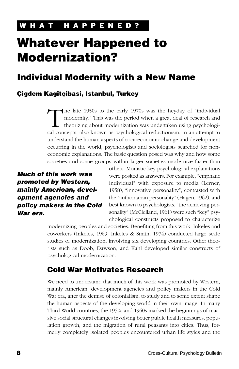# <span id="page-9-0"></span>**Whatever Happened to Modernization?**

# **Individual Modernity with a New Name**

### **Çigdem Kagitçibasi, Istanbul, Turkey**

The late 1950s to the early 1970s was the heyday of "individual modernity." This was the period when a great deal of research and theorizing about modernization was undertaken using psychological concents also known as psy modernity." This was the period when a great deal of research and theorizing about modernization was undertaken using psychological concepts, also known as psychological reductionism. In an attempt to understand the human aspects of socioeconomic change and development occurring in the world, psychologists and sociologists searched for noneconomic explanations. The basic question posed was why and how some societies and some groups within larger societies modernize faster than

**Much of this work was promoted by Western, mainly American, development agencies and policy makers in the Cold War era.**

others. Monistic key psychological explanations were posited as answers. For example, "emphatic individual" with exposure to media (Lerner, 1958), "innovative personality", contrasted with the "authoritarian personality" (Hagen, 1962), and best known to psychologists, "the achieving personality" (McClelland, 1961) were such "key" psychological constructs proposed to characterize

modernizing peoples and societies. Benefiting from this work, Inkeles and coworkers (Inkeles, 1969; Inkeles & Smith, 1974) conducted large scale studies of modernization, involving six developing countries. Other theorists such as Doob, Dawson, and Kahl developed similar constructs of psychological modernization.

### **Cold War Motivates Research**

We need to understand that much of this work was promoted by Western, mainly American, development agencies and policy makers in the Cold War era, after the demise of colonialism, to study and to some extent shape the human aspects of the developing world in their own image. In many Third World countries, the 1950s and 1960s marked the beginnings of massive social structural changes involving better public health measures, population growth, and the migration of rural peasants into cities. Thus, formerly completely isolated peoples encountered urban life styles and the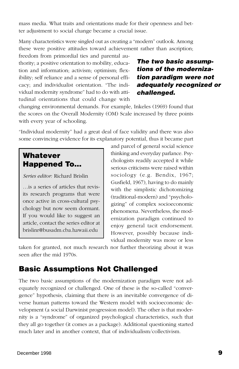mass media. What traits and orientations made for their openness and better adjustment to social change became a crucial issue.

Many characteristics were singled out as creating a "modern" outlook. Among these were positive attitudes toward achievement rather than ascription;

freedom from primordial ties and parental authority; a positive orientation to mobility, education and information; activism; optimism; flexibility; self reliance and a sense of personal efficacy; and individualist orientation. "The individual modernity syndrome" had to do with attitudinal orientations that could change with

### **The two basic assumptions of the modernization paradigm were not adequately recognized or challenged.**

changing environmental demands. For example, Inkeles (1969) found that the scores on the Overall Modernity (OM) Scale increased by three points with every year of schooling.

"Individual modernity" had a great deal of face validity and there was also some convincing evidence for its explanatory potential, thus it became part

### **Whatever Happened To…**

*Series editor:* Richard Brislin

…is a series of articles that revisits research programs that were once active in cross-cultural psychology but now seem dormant. If you would like to suggest an article, contact the series editor at brislinr@busadm.cba.hawaii.edu

and parcel of general social science thinking and everyday parlance. Psychologists readily accepted it while serious criticisms were raised within sociology (e.g. Bendix, 1967; Gusfield, 1967), having to do mainly with the simplistic dichotomizing (traditional-modern) and "psychologizing" of complex socioeconomic phenomena. Nevertheless, the modernization paradigm continued to enjoy general tacit endorsement. However, possibly because individual modernity was more or less

taken for granted, not much research nor further theorizing about it was seen after the mid 1970s.

### **Basic Assumptions Not Challenged**

The two basic assumptions of the modernization paradigm were not adequately recognized or challenged. One of these is the so-called "convergence" hypothesis, claiming that there is an inevitable convergence of diverse human patterns toward the Western model with socioeconomic development (a social Darwinist progression model). The other is that modernity is a "syndrome" of organized psychological characteristics, such that they all go together (it comes as a package). Additional questioning started much later and in another context, that of individualism/collectivism.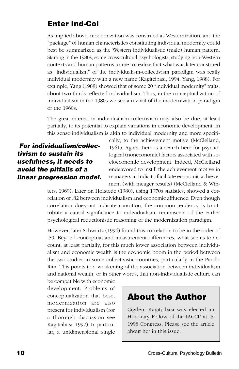## **Enter Ind-Col**

As implied above, modernization was construed as Westernization, and the "package" of human characteristics constituting individual modernity could best be summarized as the Western individualistic (male) human pattern. Starting in the 1980s, some cross-cultural psychologists, studying non-Western contexts and human patterns, came to realize that what was later construed as "individualism" of the individualism-collectivism paradigm was really individual modernity with a new name (Kagitcibasi, 1994; Yang, 1988). For example, Yang (1988) showed that of some 20 "individual modernity" traits, about two-thirds reflected individualism. Thus, in the conceptualization of individualism in the 1980s we see a revival of the modernization paradigm of the 1960s.

The great interest in individualism-collectivism may also be due, at least partially, to its potential to explain variations in economic development. In this sense individualism is akin to individual modernity and more specifi-

 **For individualism/collectivism to sustain its usefulness, it needs to avoid the pitfalls of a linear progression model.** cally, to the achievement motive (McClelland, 1961). Again there is a search here for psychological (noneconomic) factors associated with socioeconomic development. Indeed, McClelland endeavored to instill the achievement motive in managers in India to facilitate economic achievement (with meager results) (McClelland & Win-

ters, 1969). Later on Hofstede (1980), using 1970s statistics, showed a correlation of .82 between individualism and economic affluence. Even though correlation does not indicate causation, the common tendency is to attribute a causal significance to individualism, reminiscent of the earlier psychological reductionistic reasoning of the modernization paradigm.

However, later Schwartz (1994) found this correlation to be in the order of .50. Beyond conceptual and measurement differences, what seems to account, at least partially, for this much lower association between individualism and economic wealth is the economic boom in the period between the two studies in some collectivistic countries, particularly in the Pacific Rim. This points to a weakening of the association between individualism and national wealth, or in other words, that non-individualistic culture can

be compatible with economic development. Problems of conceptualization that beset modernization are also present for individualism (for a thorough discussion see Kagitcibasi, 1997). In particular, a unidimensional single

# **About the Author**

Çigdem Kagitçibasi was elected an Honorary Fellow of the IACCP at its 1998 Congress. Please see the article about her in this issue.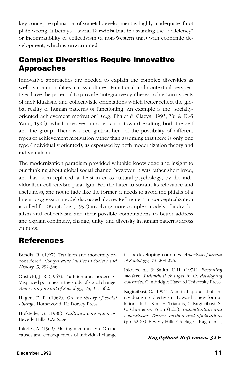key concept explanation of societal development is highly inadequate if not plain wrong. It betrays a social Darwinist bias in assuming the "deficiency" or incompatibility of collectivism (a non-Western trait) with economic development, which is unwarranted.

### **Complex Diversities Require Innovative Approaches**

Innovative approaches are needed to explain the complex diversities as well as commonalities across cultures. Functional and contextual perspectives have the potential to provide "integrative syntheses" of certain aspects of individualistic and collectivistic orientations which better reflect the global reality of human patterns of functioning. An example is the "sociallyoriented achievement motivation" (e.g. Phalet & Claeys, 1993; Yu & K.-S Yang, 1994), which involves an orientation toward exalting both the self and the group. There is a recognition here of the possibility of different types of achievement motivation rather than assuming that there is only one type (individually oriented), as espoused by both modernization theory and individualism.

The modernization paradigm provided valuable knowledge and insight to our thinking about global social change, however, it was rather short lived, and has been replaced, at least in cross-cultural psychology, by the individualism/collectivism paradigm. For the latter to sustain its relevance and usefulness, and not to fade like the former, it needs to avoid the pitfalls of a linear progression model discussed above. Refinement in conceptualization is called for (Kagitcibasi, 1997) involving more complex models of individualism and collectivism and their possible combinations to better address and explain continuity, change, unity, and diversity in human patterns across cultures.

### **References**

Bendix, R. (1967). Tradition and modernity reconsidered. *Comparative Studies in Society and History, 9*, 292-346.

Gusfield, J. R. (1967). Tradition and modernity: Misplaced polarities in the study of social change. *American Journal of Sociology, 73*, 351-362.

Hagen, E. E. (1962). *On the theory of social change*. Homewood, IL: Dorsey Press.

Hofstede, G. (1980). *Culture's consequences*. Beverly Hills, CA: Sage.

Inkeles, A. (1969). Making men modern. On the causes and consequences of individual change

in six developing countries. *American Journal of Sociology, 75*, 208-225.

Inkeles, A., & Smith, D.H. (1974). *Becoming modern: Individual changes in six developing countries*. Cambridge: Harvard University Press.

Kagitcibasi, C. (1994). A critical appraisal of individualism-collectivism: Toward a new formulation. In U. Kim, H. Triandis, C. Kagitcibasi, S-C. Choi & G. Yoon (Eds.), *Individualism and collectivism: Theory, method and applications* (pp. 52-65). Beverly Hills, CA: Sage. Kagitcibasi,

#### *Kagitçibasi References 32*➤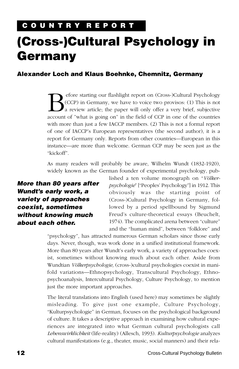# <span id="page-13-0"></span>**(Cross-)Cultural Psychology in Germany**

### **Alexander Loch and Klaus Boehnke, Chemnitz, Germany**

**B** fore starting our flashlight report on (Cross-)Cultural Psychology<br>
a review article; the paper will only offer a very brief, subjective<br>
account of "what is going on" in the field of CCP in one of the countries (CCP) in Germany, we have to voice two provisos: (1) This is not a review article; the paper will only offer a very brief, subjective account of "what is going on" in the field of CCP in one of the countries with more than just a few IACCP members. (2) This is not a formal report of one of IACCP's European representatives (the second author), it is a report for Germany only. Reports from other countries—European in this instance—are more than welcome. German CCP may be seen just as the "kickoff".

As many readers will probably be aware, Wilhelm Wundt (1832-1920), widely known as the German founder of experimental psychology, pub-

### **More than 80 years after Wundt's early work, a variety of approaches coexist, sometimes without knowing much about each other.**

lished a ten volume monograph on "*Völkerpsychologie*" ["Peoples' Psychology"] in 1912. This obviously was the starting point of (Cross-)Cultural Psychology in Germany, followed by a period spellbound by Sigmund Freud's culture-theoretical essays (Beuchelt, 1974). The complicated arena between "culture" and the "human mind", between "folklore" and

"psychology", has attracted numerous German scholars since those early days. Never, though, was work done in a unified institutional framework. More than 80 years after Wundt's early work, a variety of approaches coexist, sometimes without knowing much about each other. Aside from Wundtian *Völkerpsychologie,* (cross-)cultural psychologies coexist in manifold variations—Ethnopsychology, Transcultural Psychology, Ethnopsychoanalysis, Intercultural Psychology, Culture Psychology, to mention just the more important approaches.

The literal translations into English (used here) may sometimes be slightly misleading. To give just one example, Culture Psychology, "Kulturpsychologie" in German, focuses on the psychological background of culture. It takes a descriptive approach in examining how cultural experiences are integrated into what German cultural psychologists call *Lebenswirklichkeit* (life-reality) (Allesch, 1993). *Kulturpsychologie* analyzes cultural manifestations (e.g., theater, music, social manners) and their rela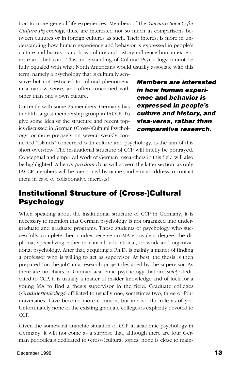tion to more general life experiences. Members of the *German Society for Culture Psychology*, thus, are interested not so much in comparisons between cultures or in foreign cultures as such. Their interest is more in understanding how human experience and behavior is expressed in people's culture and history—and how culture and history influence human experience and behavior. This understanding of Cultural Psychology cannot be fully equaled with what North Americans would usually associate with this term, namely a psychology that is culturally sen-

sitive but not restricted to cultural phenomena in a narrow sense, and often concerned with other than one's own culture.

Currently with some 25 members, Germany has the fifth largest membership group in IACCP. To give some idea of the structure and recent topics discussed in German (Cross-)Cultural Psychology, or more precisely on several weakly con**Members are interested in how human experience and behavior is expressed in people's culture and history, and visa-versa, rather than comparative research.**

nected "islands" concerned with culture and psychology, is the aim of this short overview. The institutional structure of CCP will briefly be portrayed. Conceptual and empirical work of German researchers in this field will also be highlighted. A heavy *pro domo* bias will govern the latter section, as only IACCP members will be mentioned by name (and e-mail address to contact them in case of collaborative interests).

### **Institutional Structure of (Cross-)Cultural Psychology**

When speaking about the institutional structure of CCP in Germany, it is necessary to mention that German psychology is not organized into undergraduate and graduate programs. Those students of psychology who successfully complete their studies receive an MA-equivalent degree, the diploma, specializing either in clinical, educational, or work and organizational psychology. After that, acquiring a Ph.D. is mainly a matter of finding a professor who is willing to act as supervisor. At best, the thesis is then prepared "on the job" in a research project designed by the supervisor. As there are no chairs in German academic psychology that are *solely* dedicated to CCP, it is usually a matter of insider knowledge and of luck for a young MA to find a thesis supervisor in the field. Graduate colleges (*Graduiertenkollegs*) affiliated to usually one, sometimes two, three or four universities, have become more common, but are not the rule as of yet. Unfortunately none of the existing graduate colleges is explicitly devoted to CCP.

Given the somewhat anarchic situation of CCP in academic psychology in Germany, it will not come as a surprise that, although there are four German periodicals dedicated to (cross-)cultural topics, none is close to main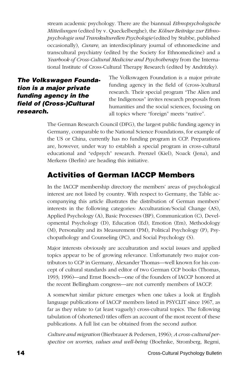stream academic psychology. There are the biannual *Ethnopsychologische Mitteilungen* (edited by v. Queckelberghe), the *Kölner Beiträge zur Ethnopsychologie und Transkulturellen Psychologie* (edited by Stubbe, published occasionally), *Curare*, an interdisciplinary journal of ethnomedicine and transcultural psychiatry (edited by the Society for Ethnomedicine) and a *Yearbook of Cross-Cultural Medicine and Psychotherapy* from the International Institute of Cross-Cultural Therapy Research (edited by Andritzky).

**The Volkswagen Foundation is a major private funding agency in the field of (Cross-)Cultural research.**

The Volkswagen Foundation is a major private funding agency in the field of (cross-)cultural research. Their special program "The Alien and the Indigenous" invites research proposals from humanities and the social sciences, focusing on all topics where "foreign" meets "native".

The German Research Council (DFG), the largest public funding agency in Germany, comparable to the National Science Foundations, for example of the US or China, currently has no funding program in CCP. Preparations are, however, under way to establish a special program in cross-cultural educational and "edpsych" research. Prenzel (Kiel), Noack (Jena), and Merkens (Berlin) are heading this initiative.

## **Activities of German IACCP Members**

In the IACCP membership directory the members' areas of psychological interest are not listed by country. With respect to Germany, the Table accompanying this article illustrates the distribution of German members' interests in the following categories: Acculturation/Social Change (AS), Applied Psychology (A), Basic Processes (BP), Communication (C), Developmental Psychology (D), Education (Ed), Emotion (Em), Methodology (M), Personality and its Measurement (PM), Political Psychology (P), Psychopathology and Counseling (PC), and Social Psychology (S).

Major interests obviously are acculturation and social issues and applied topics appear to be of growing relevance. Unfortunately two major contributors to CCP in Germany, Alexander Thomas—well known for his concept of cultural standards and editor of two German CCP books (Thomas, 1993; 1996)—and Ernst Boesch—one of the founders of IACCP honored at the recent Bellingham congress—are not currently members of IACCP.

A somewhat similar picture emerges when one takes a look at English language publications of IACCP members listed in PSYCLIT since 1967, as far as they relate to (at least vaguely) cross-cultural topics. The following tabulation of (shortened) titles offers an account of the most recent of these publications. A full list can be obtained from the second author.

*Culture and migration* (Bierbrauer & Pedersen, 1996); *A cross-cultural perspective on worries, values and well-being* (Boehnke, Stromberg, Regmi,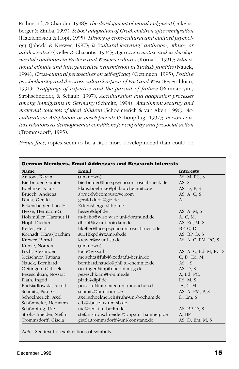Richmond, & Chandra, 1998); *The development of moral judgment* (Eckensberger & Zimba, 1997); *School adaptation of Greek children after remigration* (Hatzichristou & Hopf, 1995); *History of cross-cultural and cultural psychology* (Jahoda & Krewer, 1997); *Is "cultural learning" anthropo-, ethno-, or adultocentric?* (Keller & Chasiotis, 1994); *Aggression motive and its developmental conditions in Eastern and Western cultures* (Kornadt, 1991); *Educational climate and intergenerative transmission in Turkish families* (Nauck, 1994); *Cross-cultural perspectives on self-efficacy* (Oettingen, 1995); *Positive psychotherapy and the cross-cultural aspects of East and West* (Peseschkian, 1991); *Trappings of expertise and the pursuit of failure* (Ramnarayan, Strohschneider, & Schaub, 1997); *Acculturation and adaptation processes among immigrants in Germany* (Schmitz, 1994); *Attachment security and maternal concepts of ideal children* (Schoelmerich & van Aken, 1996); *Acculturation: Adaptation or development?* (Schönpflug, 1997); *Person-context relations as developmental conditions for empathy and prosocial action* (Trommsdorff, 1995).

*Prima face*, topics seem to be a little more developmental than could be

| <b>German Members, Email Addresses and Research Interests</b> |                                          |                        |  |
|---------------------------------------------------------------|------------------------------------------|------------------------|--|
| <b>Name</b>                                                   | Email                                    | <b>Interests</b>       |  |
| Aratow, Kayan                                                 | $\overline{\text{(unknown)}}$            | AS, M, PC, S           |  |
| Bierbrauer, Gunter                                            | bierbrauer@luce.psycho.uni-osnabrueck.de | AS, S                  |  |
| Boehnke, Klaus                                                | klaus.boehnke@phil.tu-chemnitz.de        | AS, $D$ , $P$ , $S$    |  |
| Bruech, Andreas                                               | abruech@compuserve.com                   | AS, A, C, S            |  |
| Duda, Gerald                                                  | gerald.duda@gtz.de                       | $\mathsf{A}$           |  |
| Eckensberger, Lutz H.                                         | Eckensberger@dipf.de                     |                        |  |
| Hesse, Hermann-G.                                             | hesse@dipf.de                            | AS, A, M, S            |  |
| Holzmüller, Hartmut H.                                        | m-haho@wiso.wiso.uni-dortmund.de         | A, C, M,               |  |
| Hopf, Diether                                                 | dhopf@rz.uni-potsdam.de                  | AS, Ed, M, S           |  |
| Keller, Heidi                                                 | hkeller@luce.psycho.uni-osnabrueck.de    | BP, C, D,              |  |
| Kornadt, Hans-Joachim                                         | su11hkpd@rz.uni-sb.de                    | AS, BP, $D, S$         |  |
| Krewer, Bernd                                                 | krewer@rz.uni-sb.de                      | AS, A, C, PM, PC, S    |  |
| Kunze, Norbert                                                | (unknown)                                |                        |  |
| Loch, Alexander                                               | loch@wxs.nl                              | AS, A, C, Ed, M, PC, S |  |
| Meischner, Tatjana                                            | meischta@fub46.zedat.fu-berlin.de        | C, D, Ed, M,           |  |
| Nauck, Bernhard                                               | bernhard.nauck@phil.tu-chemnitz.de       | AS, S                  |  |
| Oettingen, Gabriele                                           | oettingen@mpib-berlin.mpg.de             | AS, $D, S$             |  |
| Peseschkian, Nossrat                                          | peseschkian@t-online.de                  | A, Ed, PC,             |  |
| Plath, Ingrid                                                 | plath@dipf.de                            | Ed, M, S               |  |
| Podsiadlowski, Astrid                                         | podsiad@mip.paed.uni-muenchen.d          | A, C, M,               |  |
| Schmitz, Paul G.                                              | schmitz@uni-bonn.de                      | AS, A, PM, P, S        |  |
| Schoelmerich, Axel                                            | axel.schoelmerich@ruhr-uni-bochum.de     | D, Em, S               |  |
| Schönmeier, Hermann                                           | efb@sbusol.rz.uni-sb.de                  |                        |  |
| Schönpflug, Ute                                               | ute@zedat.fu-berlin.de                   | AS, BP, $D, S$         |  |
| Strohschneider, Stefan                                        | stefan.strohschneider@ppp.uni-bamberg.de | A, BP                  |  |
| Trommsdorff, Gisela                                           | gisela.trommsdorff@uni-konstanz.de       | AS, D, Em, M, S        |  |

*Note.* See text for explanations of symbols.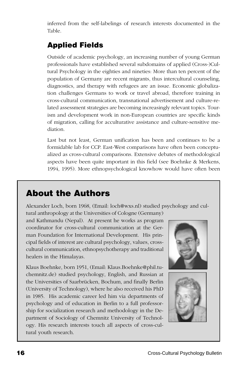inferred from the self-labelings of research interests documented in the Table.

# **Applied Fields**

Outside of academic psychology, an increasing number of young German professionals have established several subdomains of applied (Cross-)Cultural Psychology in the eighties and nineties: More than ten percent of the population of Germany are recent migrants, thus intercultural counseling, diagnostics, and therapy with refugees are an issue. Economic globalization challenges Germans to work or travel abroad, therefore training in cross-cultural communication, transnational advertisement and culture-related assessment strategies are becoming increasingly relevant topics. Tourism and development work in non-European countries are specific kinds of migration, calling for acculturative assistance and culture-sensitive mediation.

Last but not least, German unification has been and continues to be a formidable lab for CCP. East-West comparisons have often been conceptualized as cross-cultural comparisons. Extensive debates of methodological aspects have been quite important in this field (see Boehnke & Merkens, 1994, 1995). More ethnopsychological knowhow would have often been

# **About the Authors**

Alexander Loch, born 1968, (Email: loch@wxs.nl) studied psychology and cultural anthropology at the Universities of Cologne (Germany)

and Kathmandu (Nepal). At present he works as program coordinator for cross-cultural communication at the German Foundation for International Development. His principal fields of interest are cultural psychology, values, crosscultural communication, ethnopsychotherapy and traditional healers in the Himalayas.

Klaus Boehnke, born 1951, (Email: Klaus.Boehnke@phil.tuchemnitz.de) studied psychology, English, and Russian at the Universities of Saarbrücken, Bochum, and finally Berlin (University of Technology), where he also received his PhD in 1985. His academic career led him via departments of psychology and of education in Berlin to a full professorship for socialization research and methodology in the Department of Sociology of Chemnitz University of Technology. His research interests touch all aspects of cross-cultural youth research.



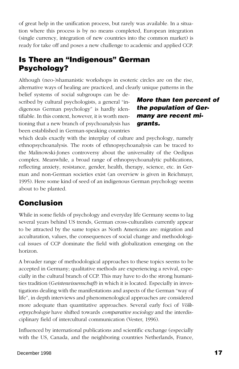of great help in the unification process, but rarely was available. In a situation where this process is by no means completed, European integration (single currency, integration of new countries into the common market) is ready for take off and poses a new challenge to academic and applied CCP.

## **Is There an "Indigenous" German Psychology?**

Although (neo-)shamanistic workshops in esoteric circles are on the rise, alternative ways of healing are practiced, and clearly unique patterns in the

belief systems of social subgroups can be described by cultural psychologists, a general "indigenous German psychology" is hardly identifiable. In this context, however, it is worth mentioning that a new branch of psychoanalysis has been established in German-speaking countries

### **More than ten percent of the population of Germany are recent migrants.**

which deals exactly with the interplay of culture and psychology, namely ethnopsychoanalysis. The roots of ethnopsychoanalysis can be traced to the Malinowski-Jones controversy about the universality of the Oedipus complex. Meanwhile, a broad range of ethnopsychoanalytic publications, reflecting anxiety, resistance, gender, health, therapy, science, etc. in German and non-German societies exist (an overview is given in Reichmayr, 1995). Here some kind of seed of an indigenous German psychology seems about to be planted.

### **Conclusion**

While in some fields of psychology and everyday life Germany seems to lag several years behind US trends, German cross-culturalists currently appear to be attracted by the same topics as North Americans are: migration and acculturation, values, the consequences of social change and methodological issues of CCP dominate the field with globalization emerging on the horizon.

A broader range of methodological approaches to these topics seems to be accepted in Germany; qualitative methods are experiencing a revival, especially in the cultural branch of CCP. This may have to do the strong humanities tradition (G*eisteswissenschaft*) in which it is located. Especially in investigations dealing with the manifestations and aspects of the German "way of life", in depth interviews and phenomenological approaches are considered more adequate than quantitative approaches. Several early foci of *Völkerpsychologie* have shifted towards *comparative sociology* and the interdisciplinary field of intercultural communication (Vester, 1996).

Influenced by international publications and scientific exchange (especially with the US, Canada, and the neighboring countries Netherlands, France,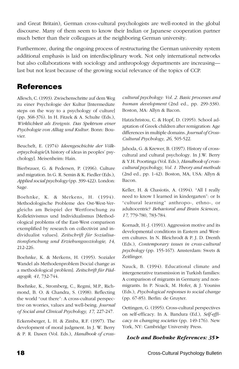and Great Britain), German cross-cultural psychologists are well-rooted in the global discourse. Many of them seem to know their Indian or Japanese cooperation partner much better than their colleagues at the neighboring German university.

Furthermore, during the ongoing process of restructuring the German university system additional emphasis is laid on interdisciplinary work. Not only international networks but also collaborations with sociology and anthropology departments are increasing last but not least because of the growing social relevance of the topics of CCP.

### **References**

Allesch, C. (1993). Zwischenschritte auf dem Weg zu einer Psychologie der Kultur [Intermediate steps on the way to a psychology of culture] (pp. 368-376). In H. Fitzek & A. Schulte (Eds.), *Wirklichkeit als Ereignis. Das Spektrum einer Psychologie von Alltag und Kultur*. Bonn: Bouvier.

Beuchelt, E. (1974) *Ideengeschichte der Völkerpsychologie* [A history of ideas in peoples' psychology]. Meisenheim: Hain.

Bierbrauer, G. & Pedersen, P. (1996). Culture and migration. In G. R. Semin & K. Fiedler (Eds.), *Applied social psychology* (pp. 399-422). London: Sage.

Boehnke, K. & Merkens, H. (1994). Methodologische Probleme des Ost-West-Vergleichs am Beispiel der Wertforschung zu Kollektivismus und Individualismus [Methodological problems of the East-West comparison exemplified by research on collectivist and individualist values]. *Zeitschrift für Sozialisationsforschung und Erziehungssoziologie, 14*, 212-226.

Boehnke, K. & Merkens, H. (1995). Sozialer Wandel als Methodenproblem [Social change as a methodological problem]. *Zeitschrift für Pädagogik, 41*, 732-744.

Boehnke, K., Stromberg, C., Regmi, M.P., Richmond, B. O. & Chandra, S. (1998). Reflecting the world "out there": A cross-cultural perspective on worries, values and well-being. *Journal of Social and Clinical Psychology, 17*, 227-247.

Eckensberger, L. H. & Zimba, R.F. (1997). The development of moral judgment. In J. W. Berry & P. R. Dasen (Vol. Eds.), *Handbook of cross-* *cultural psychology: Vol. 2. Basic processes and human development* (2nd ed., pp. 299-338). Boston, MA: Allyn & Bacon.

Hatzichristou, C. & Hopf, D. (1995). School adaptation of Greek children after remigration: Age differences in multiple domains. *Journal of Cross-Cultural Psychology, 26*, 505-522.

Jahoda, G. & Krewer, B. (1997). History of crosscultural and cultural psychology. In J.W. Berry & Y.H. Poortinga (Vol. Eds.), *Handbook of crosscultural psychology, Vol. 1. Theory and methods* (2nd ed., pp. 1-42). Boston, MA, USA: Allyn & Bacon.

Keller, H. & Chasiotis, A. (1994). "All I really need to know I learned in kindergarten": or Is "cultural learning" anthropo-, ethno-, or adultocentric? *Behavioral and Brain Sciences,. 17*, 779-780, 783-784.

Kornadt, H.-J. (1991). Aggression motive and its developmental conditions in Eastern and Western cultures. In N. Bleichrodt & P. J. D. Drenth (Eds.), *Contemporary issues in cross-cultural psychology* (pp. 155-167). Amsterdam: Swets & Zeitlinger.

Nauck, B. (1994). Educational climate and intergenerative transmission in Turkish families: A comparison of migrants in Germany and nonmigrants. In P. Noack, M. Hofer, & J. Youniss (Eds.), *Psychological responses to social change* (pp. 67-85). Berlin: de Gruyter.

Oettingen, G. (1995). Cross-cultural perspectives on self-efficacy. In A. Bandura (Ed.), *Self-efficacy in changing societies* (pp. 149-176). New York, NY: Cambridge University Press.

#### *Loch and Boehnke References: 35*➤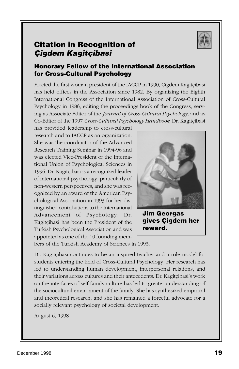

### <span id="page-20-0"></span>**Citation in Recognition of Çigdem Kagitçibasi**

### **Honorary Fellow of the International Association for Cross-Cultural Psychology**

Elected the first woman president of the IACCP in 1990, Çigdem Kagitçibasi has held offices in the Association since 1982. By organizing the Eighth International Congress of the International Association of Cross-Cultural Psychology in 1986, editing the proceedings book of the Congress, serving as Associate Editor of the *Journal of Cross-Cultural Psychology*, and as Co-Editor of the 1997 *Cross-Cultural Psychology Handbook*, Dr. Kagitçibasi

has provided leadership to cross-cultural research and to IACCP as an organization. She was the coordinator of the Advanced Research Training Seminar in 1994-96 and was elected Vice-President of the International Union of Psychological Sciences in 1996. Dr. Kagitçibasi is a recognized leader of international psychology, particularly of non-western perspectives, and she was recognized by an award of the American Psychological Association in 1993 for her distinguished contributions to the International Advancement of Psychology. Dr. Kagitçibasi has been the President of the Turkish Psychological Association and was appointed as one of the 10 founding mem-



**Jim Georgas gives Çigdem her reward.**

bers of the Turkish Academy of Sciences in 1993.

Dr. Kagitçibasi continues to be an inspired teacher and a role model for students entering the field of Cross-Cultural Psychology. Her research has led to understanding human development, interpersonal relations, and their variations across cultures and their antecedents. Dr. Kagitçibasi's work on the interfaces of self-family-culture has led to greater understanding of the sociocultural environment of the family. She has synthesized empirical and theoretical research, and she has remained a forceful advocate for a socially relevant psychology of societal development.

August 6, 1998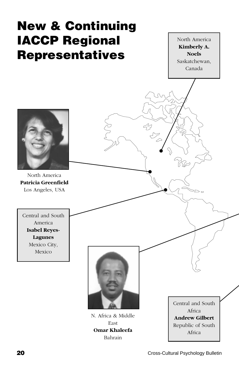<span id="page-21-0"></span>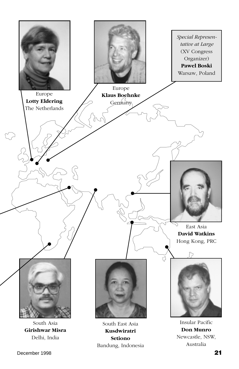

December 1998 **21**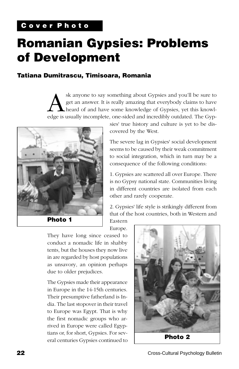# <span id="page-23-0"></span>**Romanian Gypsies: Problems of Development**

### **Tatiana Dumitrascu, Timisoara, Romania**

sk anyone to say something about Gypsies and you'll be sure to<br>get an answer. It is really amazing that everybody claims to have<br>heard of and have some knowledge of Gypsies, yet this knowledge<br>equally incomplete one-sided get an answer. It is really amazing that everybody claims to have heard of and have some knowledge of Gypsies, yet this knowledge is usually incomplete, one-sided and incredibly outdated. The Gyp-



sies' true history and culture is yet to be discovered by the West.

The severe lag in Gypsies' social development seems to be caused by their weak commitment to social integration, which in turn may be a consequence of the following conditions:

1. Gypsies are scattered all over Europe. There is no Gypsy national state. Communities living in different countries are isolated from each other and rarely cooperate.

2. Gypsies' life style is strikingly different from that of the host countries, both in Western and Eastern

Europe.

They have long since ceased to conduct a nomadic life in shabby tents, but the houses they now live in are regarded by host populations as unsavory, an opinion perhaps due to older prejudices.

The Gypsies made their appearance in Europe in the 14-15th centuries. Their presumptive fatherland is India. The last stopover in their travel to Europe was Egypt. That is why the first nomadic groups who arrived in Europe were called Egyptians or, for short, Gypsies. For several centuries Gypsies continued to

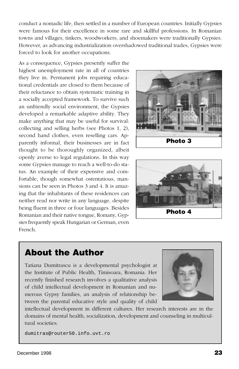conduct a nomadic life, then settled in a number of European countries. Initially Gypsies were famous for their excellence in some rare and skillful professions. In Romanian towns and villages, tinkers, woodworkers, and shoemakers were traditionally Gypsies. However, as advancing industrialization overshadowed traditional trades, Gypsies were forced to look for another occupations.

As a consequence, Gypsies presently suffer the highest unemployment rate in all of countries they live in. Permanent jobs requiring educational credentials are closed to them because of their reluctance to obtain systematic training in a socially accepted framework. To survive such an unfriendly social environment, the Gypsies developed a remarkable adaptive ability. They make anything that may be useful for survival: collecting and selling herbs (see Photos 1, 2), second hand clothes, even reselling cars. Apparently informal, their businesses are in fact thought to be thoroughly organized, albeit openly averse to legal regulations. In this way some Gypsies manage to reach a well-to-do status. An example of their expensive and comfortable, though somewhat ostentatious, mansions can be seen in Photos 3 and 4. It is amazing that the inhabitants of these residences can neither read nor write in any language, despite being fluent in three or four languages. Besides Romanian and their native tongue, Romany, Gypsies frequently speak Hungarian or German, even French.





# **About the Author**

Tatiana Dumitrascu is a developmental psychologist at the Institute of Public Health, Timisoara, Romania. Her recently finished research involves a qualitative analysis of child intellectual development in Romanian and numerous Gypsy families, an analysis of relationship between the parental educative style and quality of child



intellectual development in different cultures. Her research interests are in the domains of mental health, socialization, development and counseling in multicultural societies.

dumitras@router50.info.uvt.ro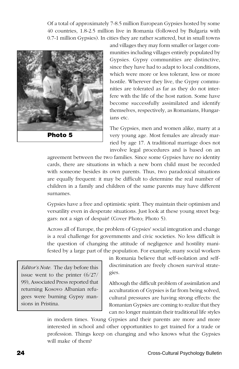Of a total of approximately 7-8.5 million European Gypsies hosted by some 40 countries, 1.8-2.5 million live in Romania (followed by Bulgaria with 0.7-1 million Gypsies). In cities they are rather scattered, but in small towns



and villages they may form smaller or larger communities including villages entirely populated by Gypsies. Gypsy communities are distinctive, since they have had to adapt to local conditions, which were more or less tolerant, less or more hostile. Wherever they live, the Gypsy communities are tolerated as far as they do not interfere with the life of the host nation. Some have become successfully assimilated and identify themselves, respectively, as Romanians, Hungarians etc.

The Gypsies, men and women alike, marry at a very young age. Most females are already married by age 17. A traditional marriage does not involve legal procedures and is based on an

agreement between the two families. Since some Gypsies have no identity cards, there are situations in which a new born child must be recorded with someone besides its own parents. Thus, two paradoxical situations are equally frequent: it may be difficult to determine the real number of children in a family and children of the same parents may have different surnames.

Gypsies have a free and optimistic spirit. They maintain their optimism and versatility even in desperate situations. Just look at these young street beggars: not a sign of despair! (Cover Photo; Photo 5).

Across all of Europe, the problem of Gypsies' social integration and change is a real challenge for governments and civic societies. No less difficult is the question of changing the attitude of negligence and hostility manifested by a large part of the population. For example, many social workers

*Editor's Note.* The day before this issue went to the printer (6/27/ 99), Associated Press reported that returning Kosovo Albanian refugees were burning Gypsy mansions in Pristina.

in Romania believe that self-isolation and selfdiscrimination are freely chosen survival strategies.

Although the difficult problem of assimilation and acculturation of Gypsies is far from being solved, cultural pressures are having strong effects: the Romanian Gypsies are coming to realize that they can no longer maintain their traditional life styles

in modern times. Young Gypsies and their parents are more and more interested in school and other opportunities to get trained for a trade or profession. Things keep on changing and who knows what the Gypsies will make of them?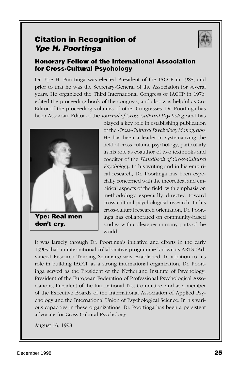### <span id="page-26-0"></span>**Citation in Recognition of Ype H. Poortinga**



### **Honorary Fellow of the International Association for Cross-Cultural Psychology**

Dr. Ype H. Poortinga was elected President of the IACCP in 1988, and prior to that he was the Secretary-General of the Association for several years. He organized the Third International Congress of IACCP in 1976, edited the proceeding book of the congress, and also was helpful as Co-Editor of the proceeding volumes of other Congresses. Dr. Poortinga has been Associate Editor of the *Journal of Cross-Cultural Psychology* and has



**Ype: Real men don't cry.**

played a key role in establishing publication of the *Cross-Cultural Psychology Monograph*. He has been a leader in systematizing the field of cross-cultural psychology, particularly in his role as coauthor of two textbooks and coeditor of the *Handbook of Cross-Cultural Psychology*. In his writing and in his empirical research, Dr. Poortinga has been especially concerned with the theoretical and empirical aspects of the field, with emphasis on methodology especially directed toward cross-cultural psychological research. In his cross-cultural research orientation, Dr. Poortinga has collaborated on community-based studies with colleagues in many parts of the world.

It was largely through Dr. Poortinga's initiative and efforts in the early 1990s that an international collaborative programme known as ARTS (Advanced Research Training Seminars) was established. In addition to his role in building IACCP as a strong international organization, Dr. Poortinga served as the President of the Netherland Institute of Psychology, President of the European Federation of Professional Psychological Associations, President of the International Test Committee, and as a member of the Executive Boards of the International Association of Applied Psychology and the International Union of Psychological Science. In his various capacities in these organizations, Dr. Poortinga has been a persistent advocate for Cross-Cultural Psychology.

August 16, 1998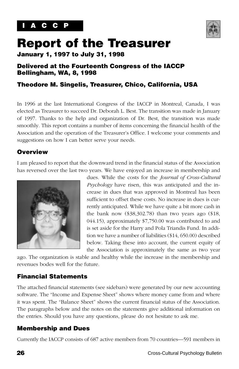

# <span id="page-27-0"></span>**Report of the Treasurer**

**January 1, 1997 to July 31, 1998**

### **Delivered at the Fourteenth Congress of the IACCP Bellingham, WA, 8, 1998**

### **Theodore M. Singelis, Treasurer, Chico, California, USA**

In 1996 at the last International Congress of the IACCP in Montreal, Canada, I was elected as Treasurer to succeed Dr. Deborah L. Best. The transition was made in January of 1997. Thanks to the help and organization of Dr. Best, the transition was made smoothly. This report contains a number of items concerning the financial health of the Association and the operation of the Treasurer's Office. I welcome your comments and suggestions on how I can better serve your needs.

### **Overview**

I am pleased to report that the downward trend in the financial status of the Association has reversed over the last two years. We have enjoyed an increase in membership and



dues. While the costs for the *Journal of Cross-Cultural Psychology* have risen, this was anticipated and the increase in dues that was approved in Montreal has been sufficient to offset these costs. No increase in dues is currently anticipated. While we have quite a bit more cash in the bank now (\$38,302.78) than two years ago (\$18, 044.15), approximately \$7,750.00 was contributed to and is set aside for the Harry and Pola Triandis Fund. In addition we have a number of liabilities (\$14, 650.00) described below. Taking these into account, the current equity of the Association is approximately the same as two year

ago. The organization is stable and healthy while the increase in the membership and revenues bodes well for the future.

### **Financial Statements**

The attached financial statements (see sidebars) were generated by our new accounting software. The "Income and Expense Sheet" shows where money came from and where it was spent. The "Balance Sheet" shows the current financial status of the Association. The paragraphs below and the notes on the statements give additional information on the entries. Should you have any questions, please do not hesitate to ask me.

### **Membership and Dues**

Currently the IACCP consists of 687 active members from 70 countries—591 members in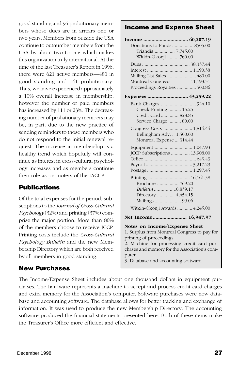good standing and 96 probationary members whose dues are in arrears one or two years. Members from outside the USA continue to outnumber members from the USA by about two to one which makes this organization truly international. At the time of the last Treasurer's Report in 1996, there were 621 active members—480 in good standing and 141 probationary. Thus, we have experienced approximately a 10% overall increase in membership, however the number of paid members has increased by 111 or 23%. The decreasing number of probationary members may be, in part, due to the new practice of sending reminders to those members who do not respond to the initial renewal request. The increase in membership is a healthy trend which hopefully will continue as interest in cross-cultural psychology increases and as members continue their role as promoters of the IACCP.

### **Publications**

Of the total expenses for the period, subscriptions to the *Journal of Cross-Cultural Psychology* (32%) and printing (37%) comprise the major portion. More than 80% of the members choose to receive JCCP. Printing costs include the *Cross-Cultural Psychology Bulletin* and the new Membership Directory which are both received by all members in good standing.

#### **New Purchases**

#### The Income/Expense Sheet includes about one thousand dollars in equipment purchases. The hardware represents a machine to accept and process credit card charges and extra memory for the Association's computer. Software purchases were new database and accounting software. The database allows for better tracking and exchange of information. It was used to produce the new Membership Directory. The accounting software produced the financial statements presented here. Both of these items make the Treasurer's Office more efficient and effective.

#### **Income and Expense Sheet**

| Donations to Funds  8505.00                  |
|----------------------------------------------|
| Triandis  7,745.00                           |
| Witkin-Okonji  760.00                        |
|                                              |
|                                              |
| Mailing List Sales  480.00                   |
| Proceedings Royalties  500.86                |
|                                              |
| Expenses  43,259.22                          |
|                                              |
| Check Printing  15.25                        |
| Credit Card  828.85                          |
| Service Charge  80.00                        |
| Congress Costs  1,814.44                     |
| Bellingham Adv.  1,500.00                    |
| Montreal Expense  314.44                     |
|                                              |
| JCCP Subscriptions  13,908.00                |
|                                              |
|                                              |
|                                              |
|                                              |
|                                              |
| Bulletin  10,839.17                          |
| Directory  4,454.15                          |
| Mailings  99.06                              |
| Witkin-Okonji Awards  4,245.00               |
| Net Income 16,947.97                         |
| Notes on Income/Expense Sheet                |
| 1. Surplus from Montreal Congress to pay for |
| printing of proceedings.                     |
| 2. Machine for processing credit card pur-   |
| chases and memory for the Association's com- |
| puter.                                       |
| 3. Database and accounting software.         |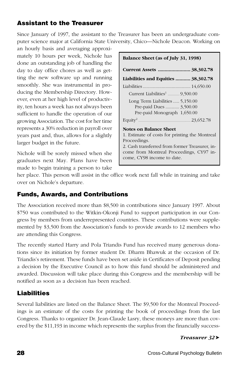### **Assistant to the Treasurer**

Since January of 1997, the assistant to the Treasurer has been an undergraduate computer science major at California State University, Chico—Nichole Deacon. Working on

an hourly basis and averaging approximately 10 hours per week, Nichole has done an outstanding job of handling the day to day office chores as well as getting the new software up and running smoothly. She was instrumental in producing the Membership Directory. However, even at her high level of productivity, ten hours a week has not always been sufficient to handle the operation of our growing Association. The cost for her time represents a 30% reduction in payroll over years past and, thus, allows for a slightly larger budget in the future.

Nichole will be sorely missed when she graduates next May. Plans have been made to begin training a person to take

| Balance Sheet (as of July 31, 1998)                                                                                                                                                                                  |  |  |
|----------------------------------------------------------------------------------------------------------------------------------------------------------------------------------------------------------------------|--|--|
| Current Assets  38,302.78                                                                                                                                                                                            |  |  |
| Liabilities and Equities  38,302.78                                                                                                                                                                                  |  |  |
|                                                                                                                                                                                                                      |  |  |
|                                                                                                                                                                                                                      |  |  |
| Long Term Liabilities  5,150.00<br>Pre-paid Dues  3,500.00<br>Pre-paid Monograph 1,650.00                                                                                                                            |  |  |
| Equity <sup>2</sup> 23,652.78                                                                                                                                                                                        |  |  |
| Notes on Balance Sheet<br>1. Estimate of costs for printing the Montreal<br>Proceedings.<br>2. Cash transferred from former Treasurer, in-<br>come from Montreal Proceedings, CY97 in-<br>come, CY98 income to date. |  |  |

her place. This person will assist in the office work next fall while in training and take over on Nichole's departure.

### **Funds, Awards, and Contributions**

The Association received more than \$8,500 in contributions since January 1997. About \$750 was contributed to the Witkin-Okonji Fund to support participation in our Congress by members from underrepresented countries. These contributions were supplemented by \$3,500 from the Association's funds to provide awards to 12 members who are attending this Congress.

The recently started Harry and Pola Triandis Fund has received many generous donations since its initiation by former student Dr. Dharm Bhawuk at the occasion of Dr. Triandis's retirement. These funds have been set aside in Certificates of Deposit pending a decision by the Executive Council as to how this fund should be administered and awarded. Discussion will take place during this Congress and the membership will be notified as soon as a decision has been reached.

### **Liabilities**

Several liabilities are listed on the Balance Sheet. The \$9,500 for the Montreal Proceedings is an estimate of the costs for printing the book of proceedings from the last Congress. Thanks to organizer Dr. Jean-Claude Lasry, these moneys are more than covered by the \$11,193 in income which represents the surplus from the financially success-

#### *Treasurer 32*➤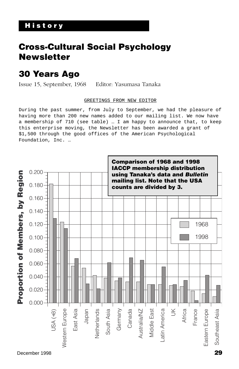# <span id="page-30-0"></span>**Cross-Cultural Social Psychology Newsletter**

# **30 Years Ago**

Issue 15, September, 1968 Editor: Yasumasa Tanaka

#### GREETINGS FROM NEW EDITOR

During the past summer, from July to September, we had the pleasure of having more than 200 new names added to our mailing list. We now have a membership of 710 (see table) … I am happy to announce that, to keep this enterprise moving, the Newsletter has been awarded a grant of \$1,500 through the good offices of the American Psychological Foundation, Inc. …

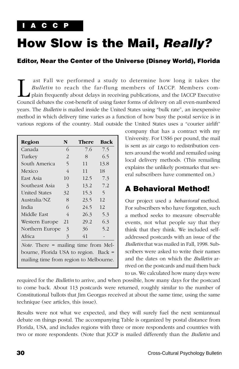# <span id="page-31-0"></span>**How Slow is the Mail, Really?**

### **Editor, Near the Center of the Universe (Disney World), Florida**

ast Fall we performed a study to determine how long it takes the *Bulletin* to reach the far-flung members of IACCP. Members complain frequently about delays in receiving publications, and the IACCP Executive Council debat *Bulletin* to reach the far-flung members of IACCP. Members complain frequently about delays in receiving publications, and the IACCP Executive Council debates the cost-benefit of using faster forms of delivery on all even-numbered years. The *Bulletin* is mailed inside the United States using "bulk rate", an inexpensive method in which delivery time varies as a function of how busy the postal service is in various regions of the country. Mail outside the United States uses a "courier airlift"

| Region                                      | N  | There | <b>Back</b> |
|---------------------------------------------|----|-------|-------------|
| Canada                                      | 6  | 7.6   | 7.5         |
| Turkey                                      | 2  | 8     | 6.5         |
| South America                               | 5  | 11    | 13.8        |
| Mexico                                      | 4  | 11    | 18          |
| East Asia                                   | 10 | 12.5  | 7.3         |
| Southeast Asia                              | 3  | 13.2  | 7.2         |
| <b>United States</b>                        | 32 | 15.3  | 5           |
| Australia/NZ                                | 8  | 23.5  | 12          |
| India                                       | 6  | 24.5  | 12          |
| Middle East                                 | 4  | 26.3  | 5.3         |
| Western Europe                              | 21 | 29.2  | 6.3         |
| Northern Europe                             | 3  | 36    | 5.2         |
| Africa                                      | 3  | 41    |             |
| <i>Note.</i> There = mailing time from Mel- |    |       |             |
| bourne, Florida USA to region. Back =       |    |       |             |
| mailing time from region to Melbourne.      |    |       |             |

company that has a contract with my University. For US\$6 per pound, the mail is sent as air cargo to redistribution centers around the world and remailed using local delivery methods. (This remailing explains the unlikely postmarks that several subscribers have commented on.)

### **A Behavioral Method!**

Our project used a *behavioral* method. For subscribers who have forgotten, such a method seeks to measure observable events, not what people say that they think that they think. We included selfaddressed postcards with an issue of the *Bulletin* that was mailed in Fall, 1998. Subscribers were asked to write their names and the dates on which the *Bulletin* arrived on the postcards and mail them back to us. We calculated how many days were

required for the *Bulletin* to arrive, and when possible, how many days for the postcard to come back. About 113 postcards were returned, roughly similar to the number of Constitutional ballots that Jim Georgas received at about the same time, using the same technique (see articles, this issue).

Results were not what we expected, and they will surely fuel the next semiannual debate on things postal. The accompanying Table is organized by postal distance from Florida, USA, and includes regions with three or more respondents and countries with two or more respondents. (Note that JCCP is mailed differently than the *Bulletin* and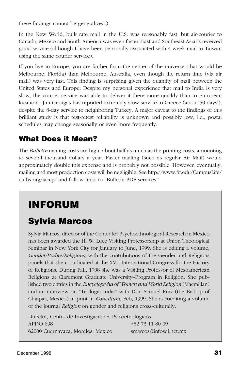<span id="page-32-0"></span>these findings cannot be generalized.)

In the New World, bulk rate mail in the U.S. was reasonably fast, but air-courier to Canada, Mexico and South America was even faster. East and Southeast Asians received good service (although I have been personally associated with 4-week mail to Taiwan using the same courier service).

If you live in Europe, you are farther from the center of the universe (that would be Melbourne, Florida) than Melbourne, Australia, even though the return time (via air mail) was very fast. This finding is surprising given the quantity of mail between the United States and Europe. Despite my personal experience that mail to India is very slow, the courier service was able to deliver it there more quickly than to European locations. Jim Georgas has reported extremely slow service to Greece (about 50 days!), despite the 8-day service to neighboring Turkey. A major caveat to the findings of this brilliant study is that test-retest reliability is unknown and possibly low, i.e., postal schedules may change seasonally or even more frequently.

## **What Does it Mean?**

The *Bulletin* mailing costs are high, about half as much as the printing costs, amounting to several thousand dollars a year. Faster mailing (such as regular Air Mail) would approximately double this expense and is probably not possible. However, eventually, mailing and most production costs will be negligible: See http://www.fit.edu/CampusLife/ clubs-org/iaccp/ and follow links to "Bulletin PDF services."

# **INFORUM**

# **Sylvia Marcos**

Sylvia Marcos, director of the Center for Psychoethnological Research in Mexico has been awarded the H. W. Luce Visiting Professorship at Union Theological Seminar in New York City for January to June, 1999. She is editing a volume, *Gender/Bodies/Religions*, with the contributions of the Gender and Religions panels that she coordinated at the XVII International Congress for the History of Religions. During Fall, 1998 she was a Visiting Professor of Mesoamerican Religions at Claremont Graduate University–Program in Religion. She published two entries in the *Encyclopedia of Women and World Religion* (Macmillan) and an interview on "Teologia India" with Don Samuel Ruiz (the Bishop of Chiapas, Mexico) in print in *Concilium*, Feb, 1999. She is coediting a volume of the journal *Religion* on gender and religions cross-culturally.

Director, Centro de Investigaciones Psicoetnologicos APDO 698  $+52,73,11,80,09$ 62000 Cuernavaca, Morelos, Mexico smarcos@infosel.net.mx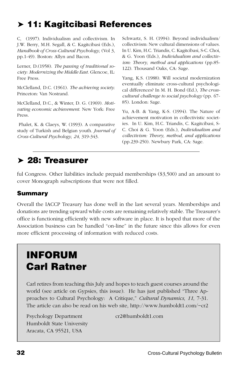# <span id="page-33-0"></span>➤ **11: Kagitcibasi References**

C, (1997). Individualism and collectivism. In J.W. Berry, M.H. Segall, & C. Kagitcibasi (Eds.), *Handbook of Cross-Cultural Psychology*, (Vol 3, pp.1-49). Boston: Allyn and Bacon.

Lerner, D.(1958). *The passing of traditional society: Modernizing the Middle East.* Glencoe, IL: Free Press.

McClelland, D.C. (1961). *The achieving society*. Princeton: Van Nostrand.

McClelland, D.C., & Winter, D. G. (1969). *Motivating economic achievement*. New York: Free Press.

 Phalet, K. & Claeys, W. (1993). A comparative study of Turkish and Belgian youth. *Journal of Cross-Cultural Psychology, 24*, 319-343.

Schwartz, S. H. (1994). Beyond individualism/ collectivism: New cultural dimensions of values. In U. Kim, H.C. Triandis, C. Kagitcibasi, S-C. Choi, & G. Yoon (Eds.), *Individualism and collectivism: Theory, method and applications* (pp.85- 122). Thousand Oaks, CA: Sage.

Yang, K.S. (1988). Will societal modernization eventually eliminate cross-cultural psychological differences? In M. H. Bond (Ed.), *The crosscultural challenge to social psychology* (pp. 67- 85). London: Sage.

Yu, A-B. & Yang, K-S. (1994). The Nature of achievement motivation in collectivistic societies. In U. Kim, H.C. Triandis, C. Kagitcibasi, S-C. Choi & G. Yoon (Eds.), *Individualism and collectivism: Theory, method, and applications* (pp.239-250). Newbury Park, CA: Sage.

# ➤ **28: Treasurer**

ful Congress. Other liabilities include prepaid memberships (\$3,500) and an amount to cover Monograph subscriptions that were not filled.

### **Summary**

Overall the IACCP Treasury has done well in the last several years. Memberships and donations are trending upward while costs are remaining relatively stable. The Treasurer's office is functioning efficiently with new software in place. It is hoped that more of the Association business can be handled "on-line" in the future since this allows for even more efficient processing of information with reduced costs.

# **INFORUM Carl Ratner**

Carl retires from teaching this July and hopes to teach guest courses around the world (see article on Gypsies, this issue). He has just published "Three Approaches to Cultural Psychology: A Critique," *Cultural Dynamics*, 11, 7-31. The article can also be read on his web site, http://www.humboldt1.com/~cr2

Psychology Department cr2@humboldt1.com Humboldt State University Aracata, CA 95521, USA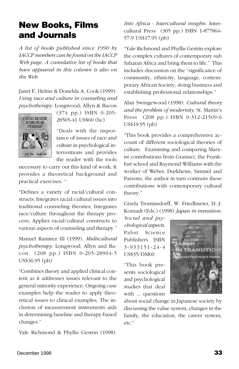# <span id="page-34-0"></span>**New Books, Films and Journals**

*A list of books published since 1990 by IACCP members can be found on the IACCP Web page. A cumulative list of books that have appeared in this column is also on the Web.*

Janet E. Helms & Donelda A. Cook (1999). *Using race and culture in counseling and psychotherapy*. Longwood; Allyn & Bacon



(374 pp.) ISBN 0-205- 28565-41 US\$60 (hc)

"Deals with the importance of issues of race and culture in psychological interventions and provides the reader with the tools

necessary to carry out this kind of work. It provides a theoretical background and practical exercises. "

"Defines a variety of racial/cultural constructs; Integrates racial/cultural issues into traditional counseling theories; Integrates race/culture throughout the therapy process; Applies racial/cultural constructs to various aspects of counseling and therapy."

Manuel Ramirez III (1999). *Multicultural psychotherapy*. Longwood; Allyn and Bacon (208 pp.) ISBN 0-205-28904-5 US\$36.95 (pb)

"Combines theory and applied clinical content as it addresses issues relevant to the general minority experience. Ongoing case examples help the reader to apply theoretical issues to clinical examples. The inclusion of measurement instruments aids in determining baseline and therapy-based changes."

Yale Richmond & Phyllis Gestrin (1998).

*Into Africa - Intercultural insights.* Intercultural Press (305 pp.) ISBN 1-877864- 57-9 US\$17.95 (pb)

"Yale Richmond and Phyllis Gestrin explore the complex cultures of contemporary sub Saharan Africa and bring them to life." This includes discussion on the "significance of community, ethnicity, language, contemporary African Society, doing business and establishing professional relationships."

Alan Swingewood (1998). *Cultural theory and the problem of modernity*. St. Martin's Press (208 pp.) ISBN 0-312-21509-6 US\$19.95 (pb)

"This book provides a comprehensive account of different sociological theories of culture. Examining and comparing Marxist contributions from Gramsci, the Frankfurt school and Raymond Williams with the worker of Weber, Durkheim, Simmel and Parsons, the author in turn contrasts these contributions with contemporary cultural theory."

Gisela Trommsdorff, W. Friedlmeier, H.-J. Kornadt (Eds.) (1998) *Japan in transition:*

*Social and psychological aspects*. Pabst Science Publishers ISBN 3-933151-24-4 US\$35/DM60

"This book presents sociological and psychological studies that deal with ... questions



about social change in Japanese society by discussing the value system, changes in the family, the education, the career system, etc."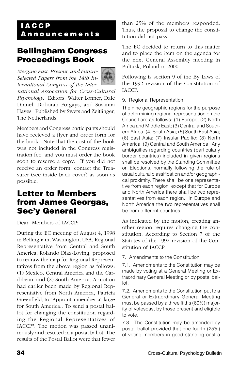### <span id="page-35-0"></span>**I A C C P A n n o u n c e m e n t s**

## **Bellingham Congress Proceedings Book**

*Merging Past, Present, and Future: Selected Papers from the 14th International Congress of the International Assocation for Cross-Cultural Psychology*. Editors: Walter Lonner, Dale Dinnel, Doborah Forgays, and Susanna Hayes. Published by Swets and Zeitlinger, The Netherlands.

Members and Congress participants should have recieved a flyer and order form for the book. Note that the cost of the book was not included in the Congress registration fee, and you must order the book soon to reserve a copy. If you did not receive an order form, contact the Treasurer (see inside back cover) as soon as possible.

### **Letter to Members from James Georgas, Sec'y General**

Dear Members of IACCP:

During the EC meeting of August 4, 1998 in Bellingham, Washington, USA, Regional Representative from Central and South America, Rolando Diaz-Loving, proposed to redraw the map for Regional Representatives from the above region as follows: (1) Mexico, Central America and the Caribbean, and (2) South America. A motion had earlier been made by Regional Representative from North America, Patricia Greenfield, to "Appoint a member-at-large for South America.. To send a postal ballot for changing the constitution regarding the Regional Representatives of IACCP". The motion was passed unanimously and resulted in a postal ballot. The results of the Postal Ballot were that fewer than 25% of the members responded. Thus, the proposal to change the constitution did not pass.

The EC decided to return to this matter and to place the item on the agenda for the next General Assembly meeting in Pultusk, Poland in 2000.

Following is section 9 of the By Laws of the 1992 revision of the Constitution of IACCP.

#### 9. Regional Representation

The nine geographic regions for the purpose of determining regional representation on the Council are as follows: (1) Europe; (2) North Africa and Middle East; (3) Central and Southern Africa; (4) South Asia; (5) South East Asia; (6) East Asia; (7) Insular Pacific; (8) North America; (9) Central and South America. Any ambiguities regarding countries (particularly border countries) included in given regions shall be resolved by the Standing Committee on Elections, normally following the rule of usual cultural classification and/or geographical proximity. There shall be one representative from each region, except that for Europe and North America there shall be two representatives from each region. In Europe and North America the two representatives shall be from different countries.

As indicated by the motion, creating another region requires changing the constitution. According to Section 7 of the Statutes of the 1992 revision of the Constitution of IACCP.

7. Amendments to the Constitution

7.1. Amendments to the Constitution may be made by voting at a General Meeting or Extraordinary General Meeting or by postal ballot.

7.2. Amendments to the Constitution put to a General or Extraordinary General Meeting must be passed by a three fifths (60%) majority of votescast by those present and eligible to vote.

7.3. The Constitution may be amended by postal ballot provided that one fourth (25%) of voting members in good standing cast a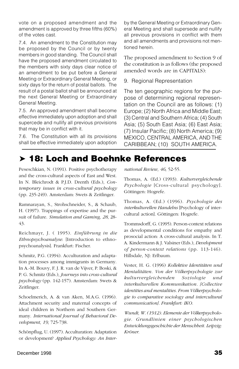vote on a proposed amendment and the amendment is approved by three fifths (60%) of the votes cast.

7.4. An amendment to the Constitution may be proposed by the Council or by twenty members in good standing. The Council shall have the proposed amendment circulated to the members with sixty days clear notice of an amendment to be put before a General Meeting or Extraordinary General Meeting, or sixty days for the return of postal ballots. The result of a postal ballot shall be announced at the next General Meeting or Extraordinary General Meeting.

7.5. An approved amendment shall become effective immediately upon adoption and shall supercede and nullify all previous provisions that may be in conflict with it.

7.6. The Constitution with all its provisions shall be effective immediately upon adoption

by the General Meeting or Extraordinary General Meeting and shall supersede and nullify all previous provisions in conflict with them and all amendments and provisions not mentioned herein.

The proposed amendment to Section 9 of the constitution is as follows (the proposed amended words are in CAPITALS):

9. Regional Representation

The ten geographic regions for the purpose of determining regional representation on the Council are as follows: (1) Europe; (2) North Africa and Middle East; (3) Central and Southern Africa; (4) South Asia; (5) South East Asia; (6) East Asia; (7) Insular Pacific; (8) North America; (9) MEXICO, CENTRAL AMERICA, AND THE CARIBBEAN; (10) SOUTH AMERICA.

# ➤ **18: Loch and Boehnke References**

Peseschkian, N. (1991). Positive psychotherapy and the cross-cultural aspects of East and West. In N. Bleichrodt & P.J.D. Drenth (Eds.), *Contemporary issues in cross-cultural psychology* (pp. 235-249). Amsterdam: Swets & Zeitlinger.

Ramnarayan, S., Strohschneider, S., & Schaub, H. (1997). Trappings of expertise and the pursuit of failure. *Simulation and Gaming, 28*, 28- 43.

Reichmayr, J. ( 1995). *Einführung in die Ethnopsychoanalyse*. [Introduction to ethnopsychoanalysis]. Frankfurt: Fischer.

Schmitz, P.G. (1994). Acculturation and adaptation processes among immigrants in Germany. In A.-M. Bouvy, F. J. R. van de Vijver, P. Boski, & P. G. Schmitz (Eds.), *Journeys into cross-cultural psychology* (pp. 142-157). Amsterdam: Swets & Zeitlinger.

Schoelmerich, A. & van Aken, M.A.G. (1996). Attachment security and maternal concepts of ideal children in Northern and Southern Germany. *International Journal of Behavioral Development, 19*, 725-738.

Schönpflug, U. (1997). Acculturation: Adaptation or development? *Applied Psychology: An Inter-* *national Review, 46*, 52-55.

Thomas, A. (Ed.) (1993). *Kulturvergleichende Psychologie* [Cross-cultural psychology]. Göttingen: Hogrefe.

Thomas, A. (Ed.) (1996). *Psychologie des interkulturellen Handelns* [Psychology of intercultural action]. Göttingen: Hogrefe.

Trommsdorff, G. (1995). Person-context relations as developmental conditions for empathy and prosocial action: A cross-cultural analysis. In T. A. Kindermann & J. Valsiner (Eds.), *Development of person-context relations* (pp. 113-146). Hillsdale, NJ: Erlbaum.

Vester, H. G. (1996) *Kollektive Identitäten und Mentalitäten. Von der Völkerpsychologie zur kulturvergleichenden Soziologie und interkulturellen Kommunikation. [Collective identities and mentalities. From Völkerpsychologie to comparative sociology and intercultural communication]. Frankfurt: IKO.*

*Wundt, W. (1912). Elemente der Völkerpsychologie. Grundlinien einer psychologischen Entwicklungsgeschichte der Menschheit. Leipzig: Kröner.*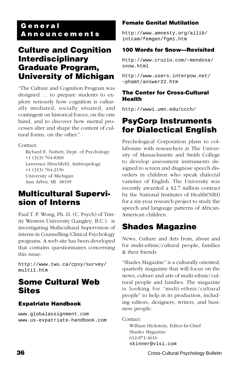### <span id="page-37-0"></span>**G e n e r a l A n n o u n c e m e n t s**

### **Culture and Cognition Interdisciplinary Graduate Program, University of Michigan**

"The Culture and Cognition Program was designed … to prepare students to explore seriously how cognition is culturally mediated, socially situated, and contingent on historical forces, on the one hand, and to discover how mental processes alter and shape the content of cultural forms, on the other."

Contact:

Richard E. Nisbett, Dept. of Psychology +1 (313) 764-8360 Lawrence Hirschfeld, Anthropology +1 (313) 764-2156 University of Michigan Ann Arbor, MI 48109

## **Multicultural Supervision of Interns**

Paul T. P. Wong, Ph. D. (C. Psych) of Trinity Western University (Langley, B.C.). is investigating Multicultural Supervision of interns in Counselling/Clinical Psychology programs. A web site has been developed that contains questionnaires concerning this issue:

http://www.twu.ca/cpsy/survey/ multi1.htm

## **Some Cultural Web Sites**

### **Expatriate Handbook**

www.globalassignment.com www.us-expatriate-handbook.com

### **Female Genital Mutilation**

http://www.amnesty.org/ailib/ intcam/femgen/fgm1.htm

### **100 Words for Snow—Revisited**

http://www.cruzio.com/~mendosa/ snow.html

http://www.users.interpow.net/ ~phamt/answer22.htm

#### **The Center for Cross-Cultural Health**

http://www1.umn.edu/ccch/

## **PsyCorp Instruments for Dialectical English**

Psychological Corporation plans to collaborate with researchers at The University of Massachusetts and Smith College to develop assessment instruments designed to screen and diagnose speech disorders in children who speak dialectal varieties of English. The University was recently awarded a \$2.7 million contract by the National Institutes of Health(NIH) for a six-year research project to study the speech and language patterns of African-American children.

## **Shades Magazine**

News, Culture and Arts from, about and for multi-ethnic/cultural people, families & their friends

"Shades Magazine" is a culturally oriented, quarterly magazine that will focus on the news, culture and arts of multi-ethnic/cultural people and families. The magazine is looking for "multi-ethnic/cultural people" to help in its production, including editors, designers, writers, and business people.

Contact:

William Hickstein, Editor-In-Chief Shades Magazine 612-871-4616 skinner@visi.com

**36 36 Cross-Cultural Psychology Bulletin** Cross-Cultural Psychology Bulletin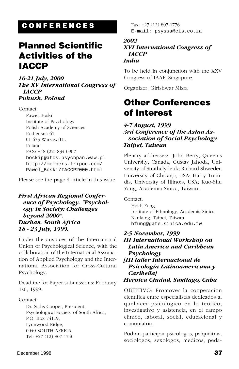# <span id="page-38-0"></span>**C O N F E R E N C E S**

# **Planned Scientific Activities of the IACCP**

*16-21 July, 2000 The XV International Congress of IACCP Pultusk, Poland*

Contact: Pawel Boski Institute of Psychology Polish Academy of Sciences Podlensna 61 01-673 Warsaw/UL Poland FAX: +48 (22) 834 0907 boskip@atos.psychpan.waw.pl http://members.tripod.com/ Pawel\_Boski/IACCP2000.html

Please see the page 4 article in this issue.

#### *First African Regional Conference of Psychology. "Psychology in Society: Challenges beyond 2000". Durban, South Africa 18 - 23 July, 1999.*

Under the auspices of the International Union of Psychological Science, with the collaboration of the International Association of Applied Psychology and the International Association for Cross-Cultural Psychology.

Deadline for Paper submissions: February 1st., 1999.

#### Contact:

Dr. Saths Cooper, President, Psychological Society of South Africa, P.O. Box 74119, Lynnwood Ridge, 0040 SOUTH AFRICA Tel: +27 (12) 807-1740

Fax: +27 (12) 807-1776 E-mail: psyssa@cis.co.za

#### *2002 XVI International Congress of IACCP India*

To be held in conjunction with the XXV Congress of IAAP, Singapore.

Organizer: Girishwar Misra

# **Other Conferences of Interest**

#### *4-7 August, 1999 3rd Conference of the Asian Association of Social Psychology Taipei, Taiwan*

Plenary addresses: John Berry, Queen's University, Canada; Gustav Jahoda, University of Strathclydeuk; Richard Shweder, University of Chicago, USA; Harry Triandis, University of Illinois, USA; Kuo-Shu Yang, Academia Sinica, Taiwan.

Contact: Heidi Fung Institute of Ethnology, Academia Sinica Nankang, Taipei, Taiwan hfung@gate.sinica.edu.tw

#### *2-5 November, 1999*

*Caribeña]*

*III International Workshop on Latin America and Caribbean Psychology [III taller Internacional de Psicología Latinoamericana y*

*Heroica Ciudad, Santiago, Cuba*

OBJETIVO: Promover la cooperacion cientifica entre especialistas dedicados al quehacer psicologico en lo teórico, investigativo y asistencia; en el campo clínico, laboral, social, educacional y comuniatrio.

Podran participar psicologos, psiquiatras, sociologos, sexologos, medicos, peda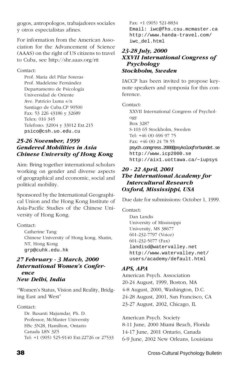gogos, antropologos, trabajadores sociales y otros especialistas afines.

For information from the American Association for the Advancement of Science (AAAS) on the right of US citizens to travel to Cuba, see http://shr.aaas.org/rtt

#### Contact:

Prof. Maria del Pilar Soteras Prof. Madeleine Fernández Departamento de Psicología Universidad de Oriente Ave. Patricio Luma s/n Santiago de Cuba.CP 90500 Fax: 53 226 43186 y 32689 Telex: 016 345 Telefono: 32004 y 33012 Ext.215 psico@csh.uo.edu.cu

#### *25-26 November, 1999 Gendered Mobilities in Asia Chinese University of Hong Kong*

Aim: Bring together international scholars working on gender and diverse aspects of geographical and economic, social and political mobility.

Sponsored by the International Geographical Union and the Hong Kong Institute of Asia-Pacific Studies of the Chinese University of Hong Kong.

Contact:

Catherine Tang Chinese University of Hong kong, Shatin, NT, Hong Kong grp@cuhk.edu.hk

#### *27 February - 3 March, 2000 International Women's Conference New Delhi, India*

"Women's Status, Vision and Reality, Bridging East and West"

Contact:

Dr. Basanti Majumdar, Ph. D. Professor, McMaster University HSc 3N28, Hamilton, Ontario Canada L8N 3Z5 Tel: +1 (905) 525-9140 Ext:22726 or 27533

Fax: +1 (905) 521-8834 Email: iwc@fhs.csu.mcmaster.ca http://www.handa-travel.com/ iwc\_del.html

#### *23-28 July, 2000 XXVII International Congress of Psychology Stockholm, Sweden*

IACCP has been invited to propose keynote speakers and symposia for this conference.

Contact:

XXVII International Congress of Psychology Box 3287 S-103 65 Stockholm, Sweden Tel: +46 (8) 696 97 75 Fax: +46 (8) 24 78 55 psych.congress.2000@psykoloqforbundet.se http://www.icp2000.se http://aix1.uottawa.ca/~iupsys

#### *20 - 22 April, 2001 The International Academy for Intercultural Research Oxford, Mississippi, USA*

Due date for submissions: October 1, 1999.

Contact:

Dan Landis University of Mississippi University, MS 38677 601-232-7797 (Voice) 601-232-5077 (Fax) landisd@watervalley.net http://www.watervalley.net/ users/academy/default.html

#### *APS, APA*

American Psych. Association 20-24 August, 1999, Boston, MA 4-8 August, 2000, Washington, D.C. 24-28 August, 2001, San Francisco, CA 23-27 August, 2002, Chicago, IL

American Psych. Society 8-11 June, 2000 Miami Beach, Florida 14-17 June, 2001 Ontario, Canada 6-9 June, 2002 New Orleans, Louisiana

**38 Cross-Cultural Psychology Bulletin** Cross-Cultural Psychology Bulletin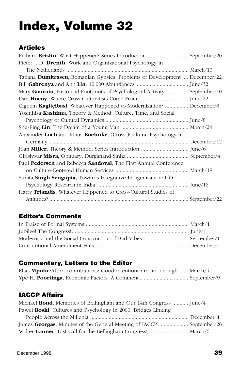# <span id="page-40-0"></span>**Index, Volume 32**

### **Articles**

| Pieter J. D. <b>Drenth</b> , Work and Organizational Psychology in             |  |
|--------------------------------------------------------------------------------|--|
|                                                                                |  |
| Tatiana Dumitrascu, Romanian Gypsies: Problems of Development  December/22     |  |
|                                                                                |  |
| Mary Gauvain, Historical Footprints of Psychological Activity  September/10    |  |
|                                                                                |  |
| Çigdem Kagitçibasi, Whatever Happened to Modernization?  December/8            |  |
| Yoshihisa Kashima, Theory & Method: Culture, Time, and Social                  |  |
|                                                                                |  |
|                                                                                |  |
| Alexander Loch and Klaus Boehnke, (Cross-)Cultural Psychology in               |  |
|                                                                                |  |
|                                                                                |  |
|                                                                                |  |
| Paul <b>Pedersen</b> and Rebecca <b>Sandoval</b> , The First Annual Conference |  |
|                                                                                |  |
| Sunita <b>Singh-Sengupta</b> , Towards Integrative Indigenization: I/O         |  |
|                                                                                |  |
| Harry <b>Triandis</b> , Whatever Happened to Cross-Cultural Studies of         |  |
|                                                                                |  |

### **Editor's Comments**

### **Commentary, Letters to the Editor**

| Elias <b>Mpofu</b> , Africa contributions: Good intentions are not enough  March/4 |  |
|------------------------------------------------------------------------------------|--|
|                                                                                    |  |

### **IACCP Affairs**

| Michael Bond, Memories of Bellingham and Our 14th Congress  June/4 |  |
|--------------------------------------------------------------------|--|
| Pawel Boski, Cultures and Psychology in 2000: Bridges Linking      |  |
|                                                                    |  |
|                                                                    |  |
| Walter Lonner, Last Call for the Bellingham Congress! March/6      |  |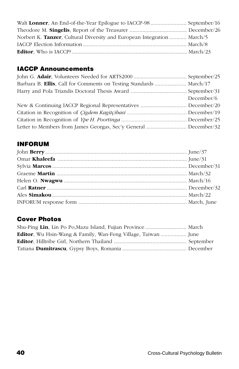| Norbert K. Tanzer, Cultural Diversity and European Integration  March/5 |  |
|-------------------------------------------------------------------------|--|
|                                                                         |  |
|                                                                         |  |

### **IACCP Announcements**

| Barbara B. Ellis, Call for Comments on Testing Standards  March/17 |            |
|--------------------------------------------------------------------|------------|
|                                                                    |            |
|                                                                    | December/6 |
|                                                                    |            |
|                                                                    |            |
|                                                                    |            |
|                                                                    |            |

### **INFORUM**

### **Cover Photos**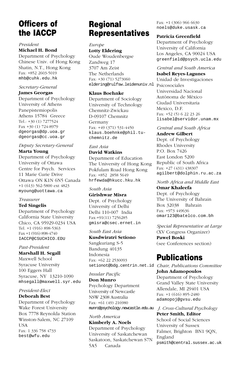# **Officers of the IACCP**

#### *President*

#### **Michael H. Bond**

Department of Psychology Chinese Univ. of Hong Kong Shatin, N.T., Hong Kong Fax: +852 2603-5019 mhb@cuhk.edu.hk

#### *Secretary-General*

**James Georgas**

Department of Psychology University of Athens Panepistemiopolis Athens 15784 Greece Tel.: +30 (1) 7277524 Fax +30 (1) 724-8979 dgeorgas@dp.uoa.gr dgeorgas@cc.uoa.gr

#### *Deputy Secretary-General* **Marta Young**

Department of Psychology University of Ottawa Centre for Psych. Services 11 Marie Curie Drive Ottawa ON K1N 6N5 Canada +1 (613) 562-5800 ext 4823 myoung@uottawa.ca

#### *Treasurer*

#### **Ted Singelis**

Department of Psychology California State University Chico, CA 95929-0234 USA Tel. +1 (916) 898-5363 Fax +1 (916) 898-4740 IACCP@CSUCHICO.EDU

#### *Past-President*

#### **Marshall H. Segall**

Maxwell School Syracuse University 100 Eggers Hall Syracuse, NY 13210-1090 mhsegall@maxwell.syr.edu

#### *President-Elect*

#### **Deborah Best**

Department of Psychology Wake Forest University Box 7778 Reynolda Station Winston-Salem, NC 27109 USA Fax: 1 336 758 4733 best@wfu.edu

# **Regional Representatives**

*Europe* **Lotty Eldering** Oude Woudenbergse Zandweg 17 3707 Am Zeist The Netherlands

Fax: +30 (71) 5273060 eldering@rulfsw.leidenuniv.nl Psicosociales

#### **Klaus Boehnke**

Department of Sociology University of Technology Chemnitz-Zwickau D-09107 Chemnitz Germany Fax: +49 (371) 531-4450 klaus.boehnke@phil.tuchemnitz.de

#### *East Asia* **David Watkins**

Department of Education The University of Hong Kong Pokfulam Road Hong Kong Fax: +852 2858 5649 hrfewda@hkucc.hku.hk

#### *South Asia* **Girishwar Misra**

Dept. of Psychology University of Delhi Delhi 110-007 India Fax:+91(11) 7256285 gmisra@csec.ernet.in

#### *South East Asia*

**Kusdwiratri Setiono** Sangkuriang S-5 Bandung 40135 Indonesia Fax: +62 22 2530093

#### *Insular Pacific*

**Don Munro** Psychology Department University of Newcastle NSW 2308 Australia Fax: +61 (49) 216980 munro@psychology.newcastle.edu.au *J. Cross-Cultural Psychology*

*North America* **Kimberly A. Noels** Department of Psychology University of Saskatchewan Saskatoon, Saskatchewan S7N 5A5 Canada

Fax: +1 (306) 966 6630 noels@duke.usask.ca

#### **Patricia Greenfield**

Department of Psychology University of California Los Angeles, CA 90024 USA greenfield@psych.ucla.edu

#### *Central and South America*

**Isabel Reyes-Lagunes**

Unidad de Investigaciones Universidad Nacional Autónoma de México Ciudad Universitaria Mexico, D.F. Fax: +52 (5) 6 22 23 26 lisabel@servidor.unam.mx

#### *Central and South Africa*

**Andrew Gilbert** Dept. of Psychology Rhodes University P.O. Box 7426 East London 5200 Republic of South Africa Fax: +27 (431) 438307 agilbert@dolphin.ru.ac.za

#### *North Africa and Middle East*

**Omar Khaleefa** Dept. of Psychology The University of Bahrain Box 32038 Bahrain Fax: +973 449636 omar123@batelco.com.bh

*Special Representative at Large* (XV Congress Organizer) **Pawel Boski** (see Conferences section)

# **Publications**

setionot@bdg.centrin.net.id *Chair, Publications Committee* **John Adamopoulos** Department of Psychology Grand Valley State University Allendale, MI 29401 USA Fax: +1 (616) 895-2480 adamopoj@gvsu.edu

> **Peter Smith, Editor** School of Social Sciences University of Sussex Falmer, Brighton BN1 9QN, England psmith@central.sussex.ac.uk